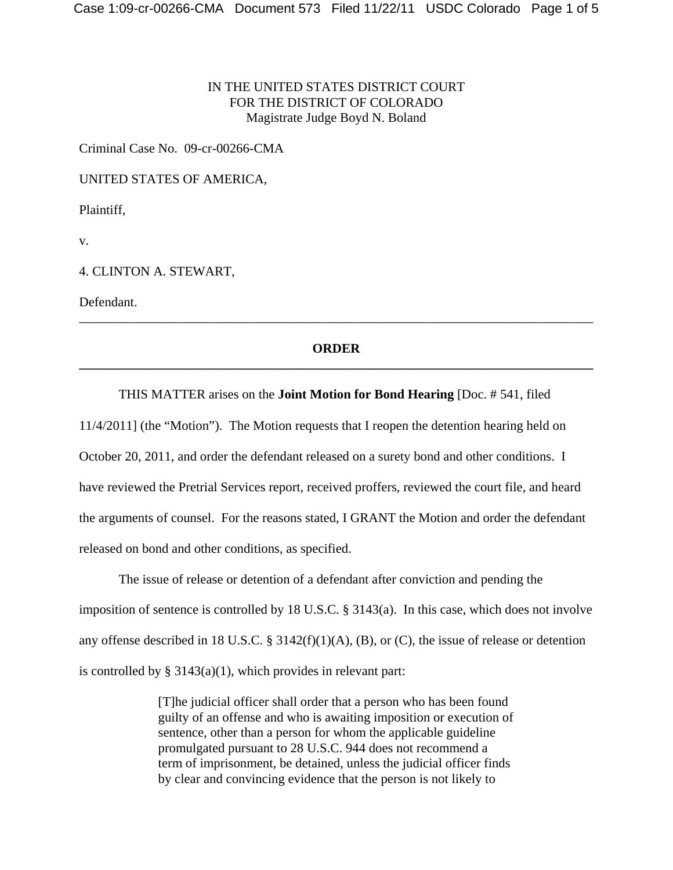## IN THE UNITED STATES DISTRICT COURT FOR THE DISTRICT OF COLORADO Magistrate Judge Boyd N. Boland

Criminal Case No. 09-cr-00266-CMA

UNITED STATES OF AMERICA,

Plaintiff,

v.

4. CLINTON A. STEWART,

Defendant.

## **ORDER \_\_\_\_\_\_\_\_\_\_\_\_\_\_\_\_\_\_\_\_\_\_\_\_\_\_\_\_\_\_\_\_\_\_\_\_\_\_\_\_\_\_\_\_\_\_\_\_\_\_\_\_\_\_\_\_\_\_\_\_\_\_\_\_\_\_\_\_\_\_\_\_\_\_\_\_\_\_**

\_\_\_\_\_\_\_\_\_\_\_\_\_\_\_\_\_\_\_\_\_\_\_\_\_\_\_\_\_\_\_\_\_\_\_\_\_\_\_\_\_\_\_\_\_\_\_\_\_\_\_\_\_\_\_\_\_\_\_\_\_\_\_\_\_\_\_\_\_\_\_\_\_\_\_\_\_\_

### THIS MATTER arises on the **Joint Motion for Bond Hearing** [Doc. # 541, filed

11/4/2011] (the "Motion"). The Motion requests that I reopen the detention hearing held on October 20, 2011, and order the defendant released on a surety bond and other conditions. I have reviewed the Pretrial Services report, received proffers, reviewed the court file, and heard the arguments of counsel. For the reasons stated, I GRANT the Motion and order the defendant released on bond and other conditions, as specified.

The issue of release or detention of a defendant after conviction and pending the imposition of sentence is controlled by 18 U.S.C. § 3143(a). In this case, which does not involve any offense described in 18 U.S.C. § 3142(f)(1)(A), (B), or (C), the issue of release or detention is controlled by  $\S 3143(a)(1)$ , which provides in relevant part:

> [T]he judicial officer shall order that a person who has been found guilty of an offense and who is awaiting imposition or execution of sentence, other than a person for whom the applicable guideline promulgated pursuant to 28 U.S.C. 944 does not recommend a term of imprisonment, be detained, unless the judicial officer finds by clear and convincing evidence that the person is not likely to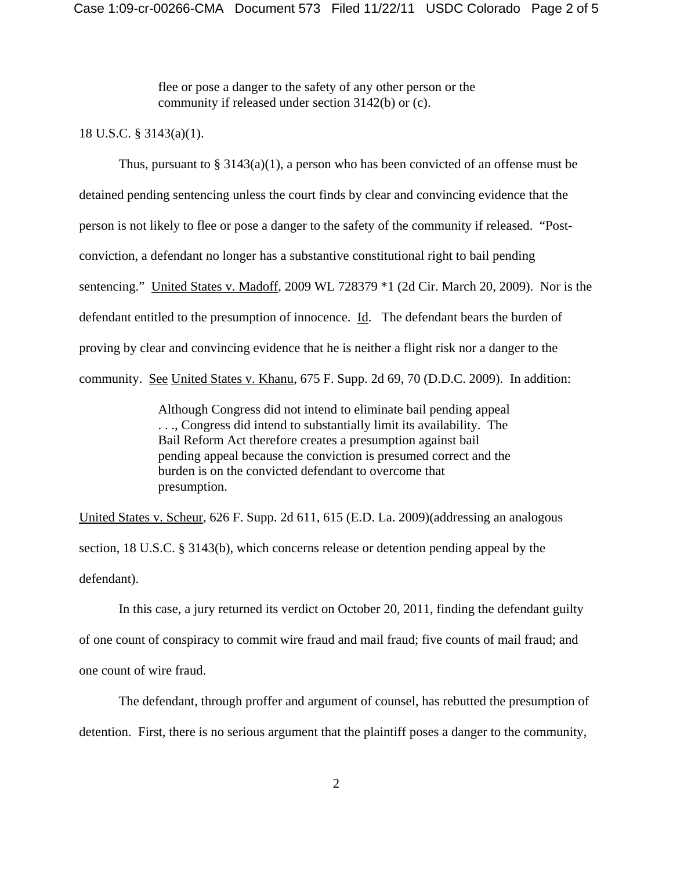flee or pose a danger to the safety of any other person or the community if released under section 3142(b) or (c).

### 18 U.S.C. § 3143(a)(1).

Thus, pursuant to  $\S 3143(a)(1)$ , a person who has been convicted of an offense must be detained pending sentencing unless the court finds by clear and convincing evidence that the person is not likely to flee or pose a danger to the safety of the community if released. "Postconviction, a defendant no longer has a substantive constitutional right to bail pending sentencing." United States v. Madoff, 2009 WL 728379 \*1 (2d Cir. March 20, 2009). Nor is the defendant entitled to the presumption of innocence. Id. The defendant bears the burden of proving by clear and convincing evidence that he is neither a flight risk nor a danger to the community. See United States v. Khanu, 675 F. Supp. 2d 69, 70 (D.D.C. 2009). In addition:

> Although Congress did not intend to eliminate bail pending appeal . . ., Congress did intend to substantially limit its availability. The Bail Reform Act therefore creates a presumption against bail pending appeal because the conviction is presumed correct and the burden is on the convicted defendant to overcome that presumption.

United States v. Scheur, 626 F. Supp. 2d 611, 615 (E.D. La. 2009)(addressing an analogous section, 18 U.S.C. § 3143(b), which concerns release or detention pending appeal by the defendant).

In this case, a jury returned its verdict on October 20, 2011, finding the defendant guilty of one count of conspiracy to commit wire fraud and mail fraud; five counts of mail fraud; and one count of wire fraud.

The defendant, through proffer and argument of counsel, has rebutted the presumption of detention. First, there is no serious argument that the plaintiff poses a danger to the community,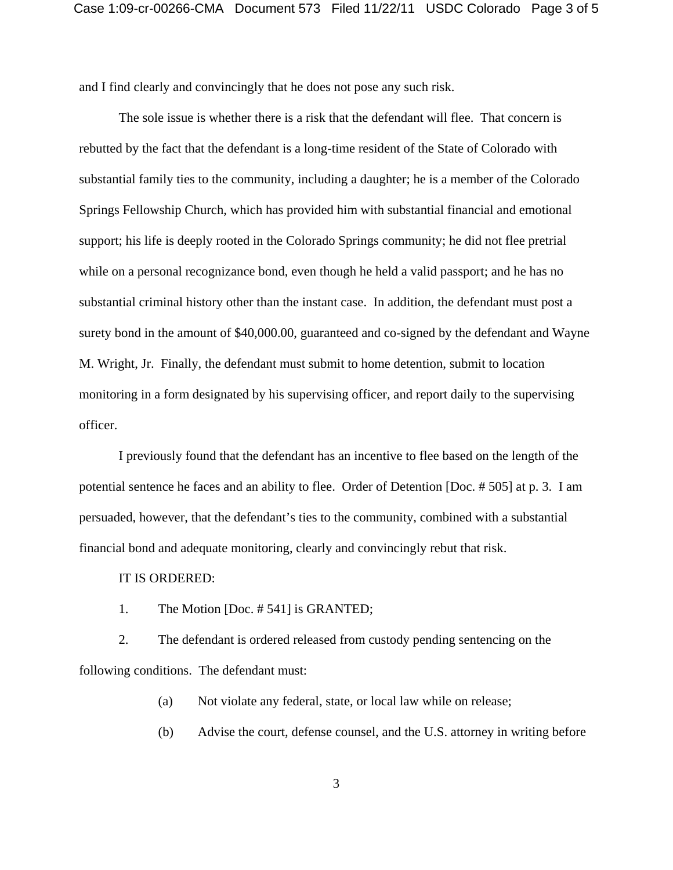and I find clearly and convincingly that he does not pose any such risk.

The sole issue is whether there is a risk that the defendant will flee. That concern is rebutted by the fact that the defendant is a long-time resident of the State of Colorado with substantial family ties to the community, including a daughter; he is a member of the Colorado Springs Fellowship Church, which has provided him with substantial financial and emotional support; his life is deeply rooted in the Colorado Springs community; he did not flee pretrial while on a personal recognizance bond, even though he held a valid passport; and he has no substantial criminal history other than the instant case. In addition, the defendant must post a surety bond in the amount of \$40,000.00, guaranteed and co-signed by the defendant and Wayne M. Wright, Jr. Finally, the defendant must submit to home detention, submit to location monitoring in a form designated by his supervising officer, and report daily to the supervising officer.

I previously found that the defendant has an incentive to flee based on the length of the potential sentence he faces and an ability to flee. Order of Detention [Doc. # 505] at p. 3. I am persuaded, however, that the defendant's ties to the community, combined with a substantial financial bond and adequate monitoring, clearly and convincingly rebut that risk.

#### IT IS ORDERED:

1. The Motion [Doc. # 541] is GRANTED;

2. The defendant is ordered released from custody pending sentencing on the following conditions. The defendant must:

(a) Not violate any federal, state, or local law while on release;

(b) Advise the court, defense counsel, and the U.S. attorney in writing before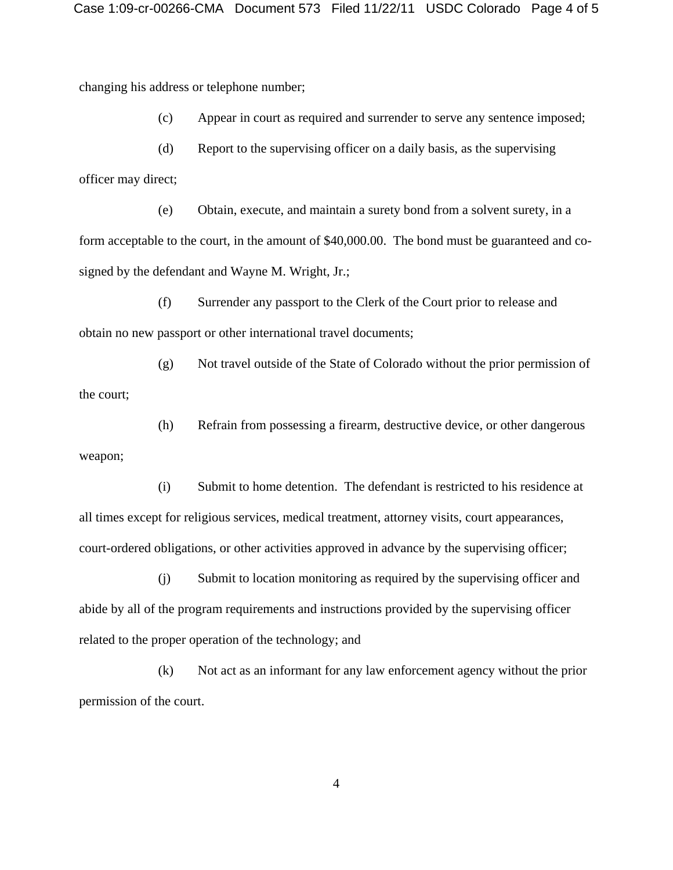changing his address or telephone number;

weapon;

(c) Appear in court as required and surrender to serve any sentence imposed;

(d) Report to the supervising officer on a daily basis, as the supervising officer may direct;

(e) Obtain, execute, and maintain a surety bond from a solvent surety, in a form acceptable to the court, in the amount of \$40,000.00. The bond must be guaranteed and cosigned by the defendant and Wayne M. Wright, Jr.;

(f) Surrender any passport to the Clerk of the Court prior to release and obtain no new passport or other international travel documents;

(g) Not travel outside of the State of Colorado without the prior permission of the court;

(h) Refrain from possessing a firearm, destructive device, or other dangerous

(i) Submit to home detention. The defendant is restricted to his residence at all times except for religious services, medical treatment, attorney visits, court appearances, court-ordered obligations, or other activities approved in advance by the supervising officer;

(j) Submit to location monitoring as required by the supervising officer and abide by all of the program requirements and instructions provided by the supervising officer related to the proper operation of the technology; and

(k) Not act as an informant for any law enforcement agency without the prior permission of the court.

4